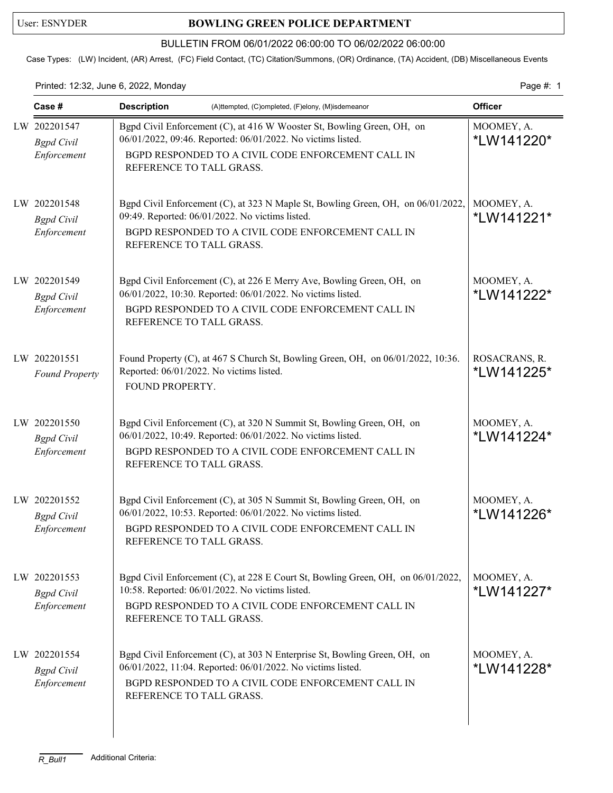## User: ESNYDER **BOWLING GREEN POLICE DEPARTMENT**

## BULLETIN FROM 06/01/2022 06:00:00 TO 06/02/2022 06:00:00

Case Types: (LW) Incident, (AR) Arrest, (FC) Field Contact, (TC) Citation/Summons, (OR) Ordinance, (TA) Accident, (DB) Miscellaneous Events

Printed: 12:32, June 6, 2022, Monday **Page #: 1** Page #: 1

| Case #                                           | <b>Description</b><br>(A)ttempted, (C)ompleted, (F)elony, (M)isdemeanor                                                                                                                                                    | <b>Officer</b>                  |  |
|--------------------------------------------------|----------------------------------------------------------------------------------------------------------------------------------------------------------------------------------------------------------------------------|---------------------------------|--|
| LW 202201547<br><b>Bgpd</b> Civil<br>Enforcement | Bgpd Civil Enforcement (C), at 416 W Wooster St, Bowling Green, OH, on<br>06/01/2022, 09:46. Reported: 06/01/2022. No victims listed.<br>BGPD RESPONDED TO A CIVIL CODE ENFORCEMENT CALL IN<br>REFERENCE TO TALL GRASS.    | MOOMEY, A.<br>*LW141220*        |  |
| LW 202201548<br><b>Bgpd</b> Civil<br>Enforcement | Bgpd Civil Enforcement (C), at 323 N Maple St, Bowling Green, OH, on 06/01/2022,<br>09:49. Reported: 06/01/2022. No victims listed.<br>BGPD RESPONDED TO A CIVIL CODE ENFORCEMENT CALL IN<br>REFERENCE TO TALL GRASS.      | MOOMEY, A.<br>*LW141221*        |  |
| LW 202201549<br><b>Bgpd</b> Civil<br>Enforcement | Bgpd Civil Enforcement (C), at 226 E Merry Ave, Bowling Green, OH, on<br>06/01/2022, 10:30. Reported: 06/01/2022. No victims listed.<br>BGPD RESPONDED TO A CIVIL CODE ENFORCEMENT CALL IN<br>REFERENCE TO TALL GRASS.     | MOOMEY, A.<br>*LW141222*        |  |
| LW 202201551<br><b>Found Property</b>            | Found Property (C), at 467 S Church St, Bowling Green, OH, on 06/01/2022, 10:36.<br>Reported: 06/01/2022. No victims listed.<br>FOUND PROPERTY.                                                                            | ROSACRANS, R.<br>*LW141225*     |  |
| LW 202201550<br><b>Bgpd</b> Civil<br>Enforcement | Bgpd Civil Enforcement (C), at 320 N Summit St, Bowling Green, OH, on<br>06/01/2022, 10:49. Reported: 06/01/2022. No victims listed.<br>BGPD RESPONDED TO A CIVIL CODE ENFORCEMENT CALL IN<br>REFERENCE TO TALL GRASS.     | MOOMEY, A.<br>*LW141224*        |  |
| LW 202201552<br><b>Bgpd</b> Civil<br>Enforcement | Bgpd Civil Enforcement (C), at 305 N Summit St, Bowling Green, OH, on<br>06/01/2022, 10:53. Reported: 06/01/2022. No victims listed.<br>BGPD RESPONDED TO A CIVIL CODE ENFORCEMENT CALL IN<br>REFERENCE TO TALL GRASS.     | MOOMEY, A.<br>*LW141226*        |  |
| LW 202201553<br><b>Bgpd</b> Civil<br>Enforcement | Bgpd Civil Enforcement (C), at 228 E Court St, Bowling Green, OH, on 06/01/2022,<br>10:58. Reported: 06/01/2022. No victims listed.<br>BGPD RESPONDED TO A CIVIL CODE ENFORCEMENT CALL IN<br>REFERENCE TO TALL GRASS.      | MOOMEY, A.<br>*LW141227*        |  |
| LW 202201554<br><b>Bgpd</b> Civil<br>Enforcement | Bgpd Civil Enforcement (C), at 303 N Enterprise St, Bowling Green, OH, on<br>06/01/2022, 11:04. Reported: 06/01/2022. No victims listed.<br>BGPD RESPONDED TO A CIVIL CODE ENFORCEMENT CALL IN<br>REFERENCE TO TALL GRASS. | MOOMEY, A.<br><i>*LW141228*</i> |  |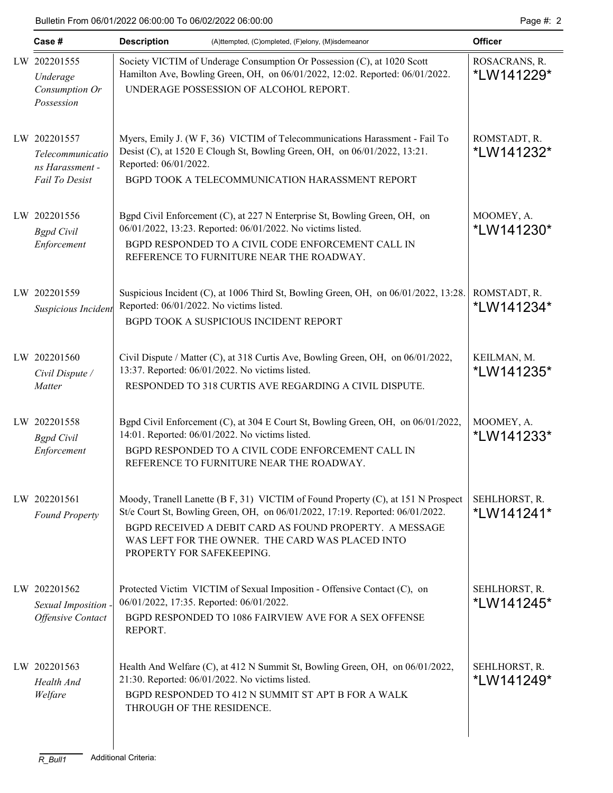| Case #                                                                | <b>Description</b><br>(A)ttempted, (C)ompleted, (F)elony, (M)isdemeanor                                                                                                                                                                                                                                       |                             |  |  |
|-----------------------------------------------------------------------|---------------------------------------------------------------------------------------------------------------------------------------------------------------------------------------------------------------------------------------------------------------------------------------------------------------|-----------------------------|--|--|
| LW 202201555<br>Underage<br>Consumption Or<br>Possession              | Society VICTIM of Underage Consumption Or Possession (C), at 1020 Scott<br>Hamilton Ave, Bowling Green, OH, on 06/01/2022, 12:02. Reported: 06/01/2022.<br>UNDERAGE POSSESSION OF ALCOHOL REPORT.                                                                                                             | ROSACRANS, R.<br>*LW141229* |  |  |
| LW 202201557<br>Telecommunicatio<br>ns Harassment -<br>Fail To Desist | Myers, Emily J. (W F, 36) VICTIM of Telecommunications Harassment - Fail To<br>Desist (C), at 1520 E Clough St, Bowling Green, OH, on 06/01/2022, 13:21.<br>Reported: 06/01/2022.<br>BGPD TOOK A TELECOMMUNICATION HARASSMENT REPORT                                                                          | ROMSTADT, R.<br>*LW141232*  |  |  |
| LW 202201556<br><b>Bgpd</b> Civil<br>Enforcement                      | Bgpd Civil Enforcement (C), at 227 N Enterprise St, Bowling Green, OH, on<br>06/01/2022, 13:23. Reported: 06/01/2022. No victims listed.<br>BGPD RESPONDED TO A CIVIL CODE ENFORCEMENT CALL IN<br>REFERENCE TO FURNITURE NEAR THE ROADWAY.                                                                    | MOOMEY, A.<br>*LW141230*    |  |  |
| LW 202201559<br>Suspicious Incident                                   | Suspicious Incident (C), at 1006 Third St, Bowling Green, OH, on 06/01/2022, 13:28.<br>Reported: 06/01/2022. No victims listed.<br>BGPD TOOK A SUSPICIOUS INCIDENT REPORT                                                                                                                                     | ROMSTADT, R.<br>*LW141234*  |  |  |
| LW 202201560<br>Civil Dispute /<br>Matter                             | Civil Dispute / Matter (C), at 318 Curtis Ave, Bowling Green, OH, on 06/01/2022,<br>13:37. Reported: 06/01/2022. No victims listed.<br>RESPONDED TO 318 CURTIS AVE REGARDING A CIVIL DISPUTE.                                                                                                                 | KEILMAN, M.<br>*LW141235*   |  |  |
| LW 202201558<br><b>Bgpd</b> Civil<br>Enforcement                      | Bgpd Civil Enforcement (C), at 304 E Court St, Bowling Green, OH, on 06/01/2022,<br>14:01. Reported: 06/01/2022. No victims listed.<br>BGPD RESPONDED TO A CIVIL CODE ENFORCEMENT CALL IN<br>REFERENCE TO FURNITURE NEAR THE ROADWAY.                                                                         | MOOMEY, A.<br>*LW141233*    |  |  |
| LW 202201561<br><b>Found Property</b>                                 | Moody, Tranell Lanette (B F, 31) VICTIM of Found Property (C), at 151 N Prospect<br>St/e Court St, Bowling Green, OH, on 06/01/2022, 17:19. Reported: 06/01/2022.<br>BGPD RECEIVED A DEBIT CARD AS FOUND PROPERTY. A MESSAGE<br>WAS LEFT FOR THE OWNER. THE CARD WAS PLACED INTO<br>PROPERTY FOR SAFEKEEPING. | SEHLHORST, R.<br>*LW141241* |  |  |
| LW 202201562<br>Sexual Imposition -<br><b>Offensive Contact</b>       | Protected Victim VICTIM of Sexual Imposition - Offensive Contact (C), on<br>06/01/2022, 17:35. Reported: 06/01/2022.<br>BGPD RESPONDED TO 1086 FAIRVIEW AVE FOR A SEX OFFENSE<br>REPORT.                                                                                                                      | SEHLHORST, R.<br>*LW141245* |  |  |
| LW 202201563<br>Health And<br>Welfare                                 | Health And Welfare (C), at 412 N Summit St, Bowling Green, OH, on 06/01/2022,<br>21:30. Reported: 06/01/2022. No victims listed.<br>BGPD RESPONDED TO 412 N SUMMIT ST APT B FOR A WALK<br>THROUGH OF THE RESIDENCE.                                                                                           | SEHLHORST, R.<br>*LW141249* |  |  |